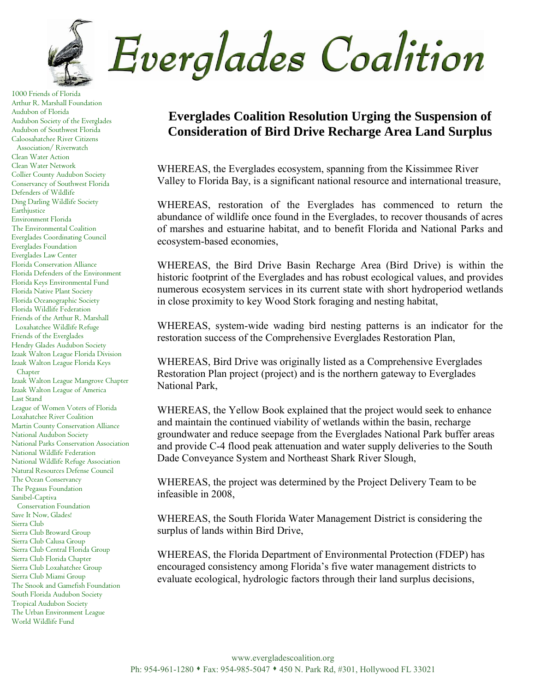

1000 Friends of Florida Arthur R. Marshall Foundation Audubon of Florida Audubon Society of the Everglades Audubon of Southwest Florida Caloosahatchee River Citizens Association/ Riverwatch Clean Water Action Clean Water Network Collier County Audubon Society Conservancy of Southwest Florida Defenders of Wildlife Ding Darling Wildlife Society Earthjustice Environment Florida The Environmental Coalition Everglades Coordinating Council Everglades Foundation Everglades Law Center Florida Conservation Alliance Florida Defenders of the Environment Florida Keys Environmental Fund Florida Native Plant Society Florida Oceanographic Society Florida Wildlife Federation Friends of the Arthur R. Marshall Loxahatchee Wildlife Refuge Friends of the Everglades Hendry Glades Audubon Society Izaak Walton League Florida Division Izaak Walton League Florida Keys Chapter Izaak Walton League Mangrove Chapter Izaak Walton League of America Last Stand League of Women Voters of Florida Loxahatchee River Coalition Martin County Conservation Alliance National Audubon Society National Parks Conservation Association National Wildlife Federation National Wildlife Refuge Association Natural Resources Defense Council The Ocean Conservancy The Pegasus Foundation Sanibel-Captiva Conservation Foundation Save It Now, Glades! Sierra Club Sierra Club Broward Group Sierra Club Calusa Group Sierra Club Central Florida Group Sierra Club Florida Chapter Sierra Club Loxahatchee Group Sierra Club Miami Group The Snook and Gamefish Foundation South Florida Audubon Society Tropical Audubon Society The Urban Environment League World Wildlife Fund

## **Everglades Coalition Resolution Urging the Suspension of Consideration of Bird Drive Recharge Area Land Surplus**

WHEREAS, the Everglades ecosystem, spanning from the Kissimmee River Valley to Florida Bay, is a significant national resource and international treasure,

WHEREAS, restoration of the Everglades has commenced to return the abundance of wildlife once found in the Everglades, to recover thousands of acres of marshes and estuarine habitat, and to benefit Florida and National Parks and ecosystem-based economies,

WHEREAS, the Bird Drive Basin Recharge Area (Bird Drive) is within the historic footprint of the Everglades and has robust ecological values, and provides numerous ecosystem services in its current state with short hydroperiod wetlands in close proximity to key Wood Stork foraging and nesting habitat,

WHEREAS, system-wide wading bird nesting patterns is an indicator for the restoration success of the Comprehensive Everglades Restoration Plan,

WHEREAS, Bird Drive was originally listed as a Comprehensive Everglades Restoration Plan project (project) and is the northern gateway to Everglades National Park,

WHEREAS, the Yellow Book explained that the project would seek to enhance and maintain the continued viability of wetlands within the basin, recharge groundwater and reduce seepage from the Everglades National Park buffer areas and provide C-4 flood peak attenuation and water supply deliveries to the South Dade Conveyance System and Northeast Shark River Slough,

WHEREAS, the project was determined by the Project Delivery Team to be infeasible in 2008,

WHEREAS, the South Florida Water Management District is considering the surplus of lands within Bird Drive,

WHEREAS, the Florida Department of Environmental Protection (FDEP) has encouraged consistency among Florida's five water management districts to evaluate ecological, hydrologic factors through their land surplus decisions,